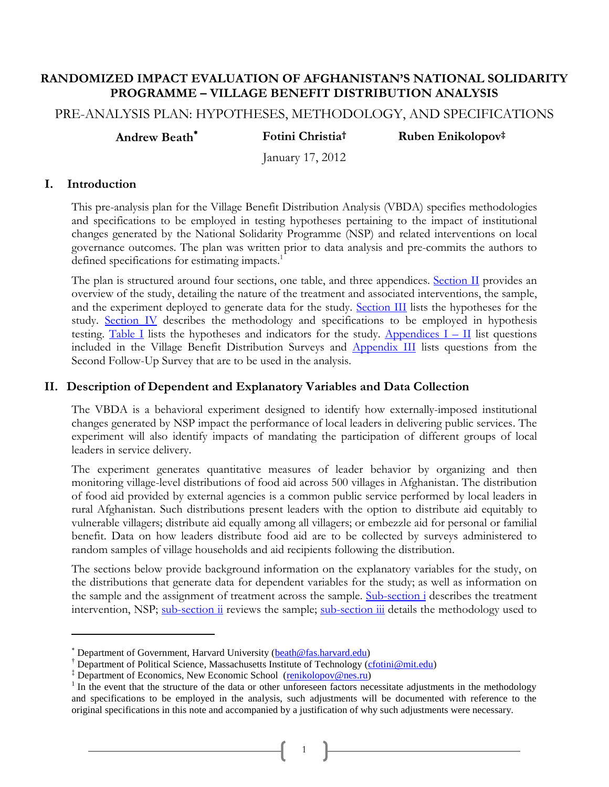# **RANDOMIZED IMPACT EVALUATION OF AFGHANISTAN'S NATIONAL SOLIDARITY PROGRAMME – VILLAGE BENEFIT DISTRIBUTION ANALYSIS**

PRE-ANALYSIS PLAN: HYPOTHESES, METHODOLOGY, AND SPECIFICATIONS

**Andrew Beath Fotini Christia† Ruben Enikolopov‡**

January 17, 2012

## **I. Introduction**

 $\overline{a}$ 

This pre-analysis plan for the Village Benefit Distribution Analysis (VBDA) specifies methodologies and specifications to be employed in testing hypotheses pertaining to the impact of institutional changes generated by the National Solidarity Programme (NSP) and related interventions on local governance outcomes. The plan was written prior to data analysis and pre-commits the authors to defined specifications for estimating impacts.<sup>1</sup>

The plan is structured around four sections, one table, and three appendices. [Section II](#page-0-0) provides an overview of the study, detailing the nature of the treatment and associated interventions, the sample, and the experiment deployed to generate data for the study. [Section III](#page-4-0) lists the hypotheses for the study. [Section IV](#page-6-0) describes the methodology and specifications to be employed in hypothesis testing. [Table I](#page-12-0) lists the hypotheses and indicators for the study. Appendices  $I - II$  list questions included in the Village Benefit Distribution Surveys and [Appendix III](#page-20-0) lists questions from the Second Follow-Up Survey that are to be used in the analysis.

## <span id="page-0-0"></span>**II. Description of Dependent and Explanatory Variables and Data Collection**

The VBDA is a behavioral experiment designed to identify how externally-imposed institutional changes generated by NSP impact the performance of local leaders in delivering public services. The experiment will also identify impacts of mandating the participation of different groups of local leaders in service delivery.

The experiment generates quantitative measures of leader behavior by organizing and then monitoring village-level distributions of food aid across 500 villages in Afghanistan. The distribution of food aid provided by external agencies is a common public service performed by local leaders in rural Afghanistan. Such distributions present leaders with the option to distribute aid equitably to vulnerable villagers; distribute aid equally among all villagers; or embezzle aid for personal or familial benefit. Data on how leaders distribute food aid are to be collected by surveys administered to random samples of village households and aid recipients following the distribution.

The sections below provide background information on the explanatory variables for the study, on the distributions that generate data for dependent variables for the study; as well as information on the sample and the assignment of treatment across the sample. [Sub-section i](#page-1-0) describes the treatment intervention, NSP; [sub-section ii](#page-1-1) reviews the sample; [sub-section iii](#page-2-0) details the methodology used to

Department of Government, Harvard University [\(beath@fas.harvard.edu\)](mailto:beath@fas.harvard.edu)

<sup>&</sup>lt;sup>†</sup> Department of Political Science, Massachusetts Institute of Technology [\(cfotini@mit.edu\)](mailto:cfotini@mit.edu)

<sup>&</sup>lt;sup>‡</sup> Department of Economics, New Economic School [\(renikolopov@nes.ru\)](mailto:renikolopov@nes.ru)

 $<sup>1</sup>$  In the event that the structure of the data or other unforeseen factors necessitate adjustments in the methodology</sup> and specifications to be employed in the analysis, such adjustments will be documented with reference to the original specifications in this note and accompanied by a justification of why such adjustments were necessary.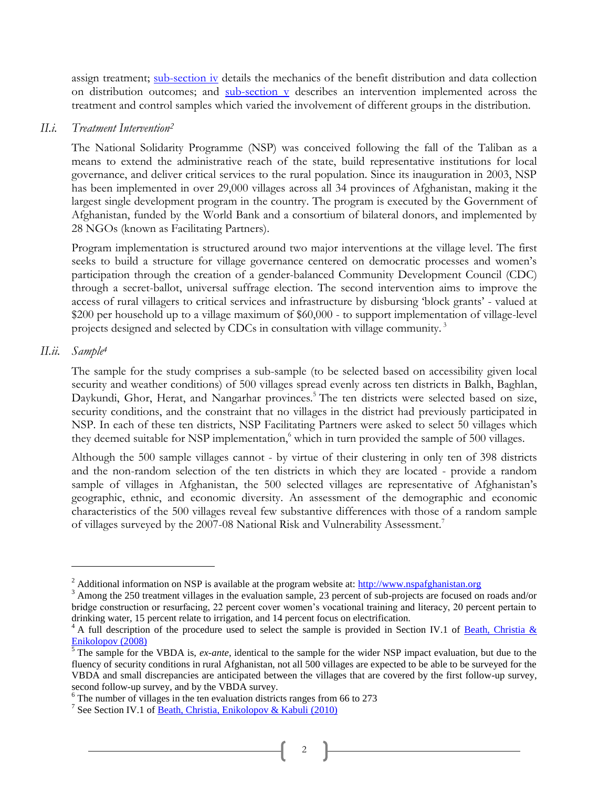assign treatment; [sub-section iv](#page-2-1) details the mechanics of the benefit distribution and data collection on distribution outcomes; and [sub-section v](#page-4-1) describes an intervention implemented across the treatment and control samples which varied the involvement of different groups in the distribution.

## *II.i. Treatment Intervention<sup>2</sup>*

<span id="page-1-0"></span>The National Solidarity Programme (NSP) was conceived following the fall of the Taliban as a means to extend the administrative reach of the state, build representative institutions for local governance, and deliver critical services to the rural population. Since its inauguration in 2003, NSP has been implemented in over 29,000 villages across all 34 provinces of Afghanistan, making it the largest single development program in the country. The program is executed by the Government of Afghanistan, funded by the World Bank and a consortium of bilateral donors, and implemented by 28 NGOs (known as Facilitating Partners).

Program implementation is structured around two major interventions at the village level. The first seeks to build a structure for village governance centered on democratic processes and women's participation through the creation of a gender-balanced Community Development Council (CDC) through a secret-ballot, universal suffrage election. The second intervention aims to improve the access of rural villagers to critical services and infrastructure by disbursing 'block grants' - valued at \$200 per household up to a village maximum of \$60,000 - to support implementation of village-level projects designed and selected by CDCs in consultation with village community.<sup>3</sup>

# *II.ii. Sample<sup>4</sup>*

 $\overline{a}$ 

<span id="page-1-1"></span>The sample for the study comprises a sub-sample (to be selected based on accessibility given local security and weather conditions) of 500 villages spread evenly across ten districts in Balkh, Baghlan, Daykundi, Ghor, Herat, and Nangarhar provinces.<sup>5</sup> The ten districts were selected based on size, security conditions, and the constraint that no villages in the district had previously participated in NSP. In each of these ten districts, NSP Facilitating Partners were asked to select 50 villages which they deemed suitable for NSP implementation, $\frac{6}{3}$  which in turn provided the sample of 500 villages.

Although the 500 sample villages cannot - by virtue of their clustering in only ten of 398 districts and the non-random selection of the ten districts in which they are located - provide a random sample of villages in Afghanistan, the 500 selected villages are representative of Afghanistan's geographic, ethnic, and economic diversity. An assessment of the demographic and economic characteristics of the 500 villages reveal few substantive differences with those of a random sample of villages surveyed by the 2007-08 National Risk and Vulnerability Assessment.<sup>7</sup>

<sup>&</sup>lt;sup>2</sup> Additional information on NSP is available at the program website at: [http://www.nspafghanistan.org](http://www.nspafghanistan.org/)

<sup>&</sup>lt;sup>3</sup> Among the 250 treatment villages in the evaluation sample, 23 percent of sub-projects are focused on roads and/or bridge construction or resurfacing, 22 percent cover women's vocational training and literacy, 20 percent pertain to drinking water, 15 percent relate to irrigation, and 14 percent focus on electrification.

 $4$  A full description of the procedure used to select the sample is provided in Section IV.1 of [Beath, Christia](http://nsp-ie.org/reportsmethodology.html) & [Enikolopov](http://nsp-ie.org/reportsmethodology.html) (2008)

<sup>&</sup>lt;sup>5</sup> The sample for the VBDA is, *ex-ante*, identical to the sample for the wider NSP impact evaluation, but due to the fluency of security conditions in rural Afghanistan, not all 500 villages are expected to be able to be surveyed for the VBDA and small discrepancies are anticipated between the villages that are covered by the first follow-up survey, second follow-up survey, and by the VBDA survey.

<sup>&</sup>lt;sup>6</sup> The number of villages in the ten evaluation districts ranges from 66 to 273

<sup>&</sup>lt;sup>7</sup> See Section IV.1 of **Beath, Christia, Enikolopov & Kabuli (2010)**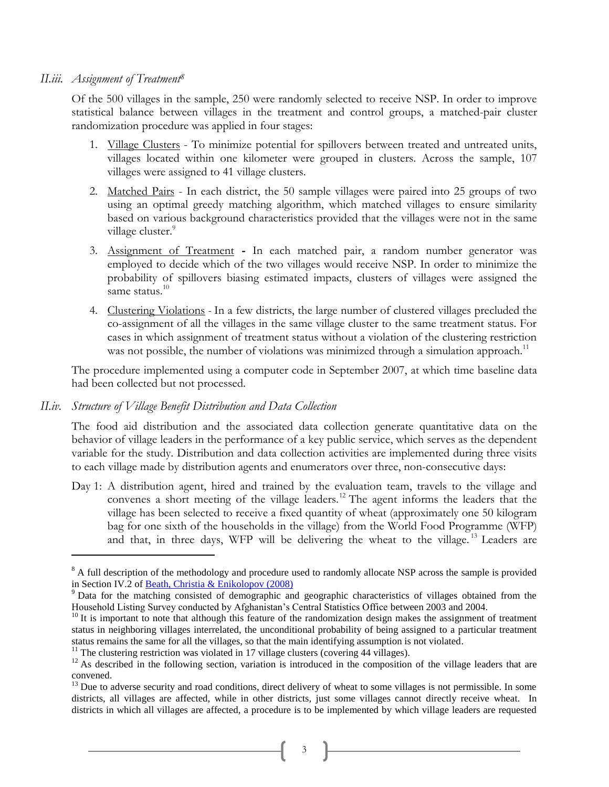## *II.iii. Assignment of Treatment<sup>8</sup>*

 $\overline{a}$ 

<span id="page-2-0"></span>Of the 500 villages in the sample, 250 were randomly selected to receive NSP. In order to improve statistical balance between villages in the treatment and control groups, a matched-pair cluster randomization procedure was applied in four stages:

- <span id="page-2-2"></span>1. Village Clusters - To minimize potential for spillovers between treated and untreated units, villages located within one kilometer were grouped in clusters. Across the sample, 107 villages were assigned to 41 village clusters.
- 2. Matched Pairs In each district, the 50 sample villages were paired into 25 groups of two using an optimal greedy matching algorithm, which matched villages to ensure similarity based on various background characteristics provided that the villages were not in the same village cluster.<sup>9</sup>
- 3. Assignment of Treatment **-** In each matched pair, a random number generator was employed to decide which of the two villages would receive NSP. In order to minimize the probability of spillovers biasing estimated impacts, clusters of villages were assigned the same status.<sup>10</sup>
- 4. Clustering Violations *-* In a few districts, the large number of clustered villages precluded the co-assignment of all the villages in the same village cluster to the same treatment status. For cases in which assignment of treatment status without a violation of the clustering restriction was not possible, the number of violations was minimized through a simulation approach.<sup>11</sup>

The procedure implemented using a computer code in September 2007, at which time baseline data had been collected but not processed.

## *II.iv. Structure of Village Benefit Distribution and Data Collection*

<span id="page-2-1"></span>The food aid distribution and the associated data collection generate quantitative data on the behavior of village leaders in the performance of a key public service, which serves as the dependent variable for the study. Distribution and data collection activities are implemented during three visits to each village made by distribution agents and enumerators over three, non-consecutive days:

Day 1: A distribution agent, hired and trained by the evaluation team, travels to the village and convenes a short meeting of the village leaders.<sup>12</sup> The agent informs the leaders that the village has been selected to receive a fixed quantity of wheat (approximately one 50 kilogram bag for one sixth of the households in the village) from the World Food Programme (WFP) and that, in three days, WFP will be delivering the wheat to the village.<sup>13</sup> Leaders are

<sup>&</sup>lt;sup>8</sup> A full description of the methodology and procedure used to randomly allocate NSP across the sample is provided in Section IV.2 of [Beath, Christia](http://nsp-ie.org/reportsmethodology.html) & Enikolopov (2008)

<sup>&</sup>lt;sup>9</sup> Data for the matching consisted of demographic and geographic characteristics of villages obtained from the Household Listing Survey conducted by Afghanistan's Central Statistics Office between 2003 and 2004.

 $10$  It is important to note that although this feature of the randomization design makes the assignment of treatment status in neighboring villages interrelated, the unconditional probability of being assigned to a particular treatment status remains the same for all the villages, so that the main identifying assumption is not violated.

 $11$  The clustering restriction was violated in 17 village clusters (covering 44 villages).

 $12$  As described in the following section, variation is introduced in the composition of the village leaders that are convened.

<sup>&</sup>lt;sup>13</sup> Due to adverse security and road conditions, direct delivery of wheat to some villages is not permissible. In some districts, all villages are affected, while in other districts, just some villages cannot directly receive wheat. In districts in which all villages are affected, a procedure is to be implemented by which village leaders are requested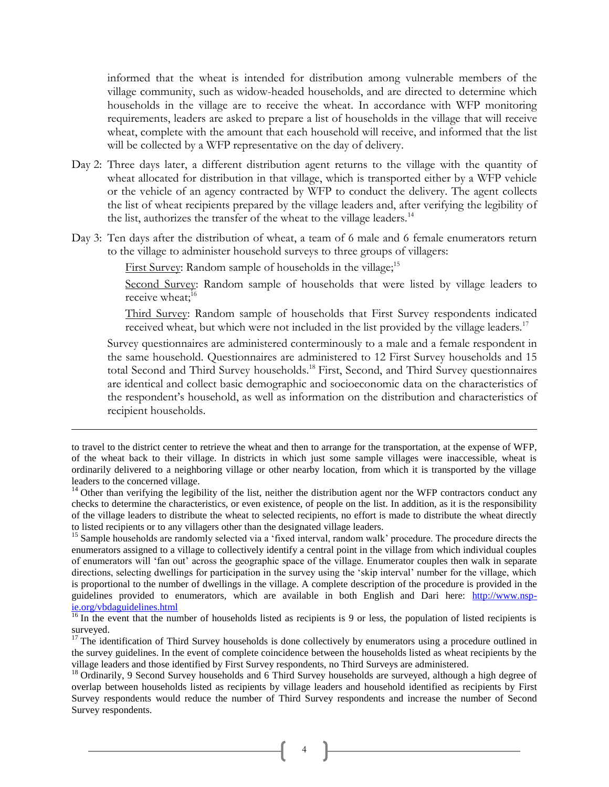informed that the wheat is intended for distribution among vulnerable members of the village community, such as widow-headed households, and are directed to determine which households in the village are to receive the wheat. In accordance with WFP monitoring requirements, leaders are asked to prepare a list of households in the village that will receive wheat, complete with the amount that each household will receive, and informed that the list will be collected by a WFP representative on the day of delivery.

- Day 2: Three days later, a different distribution agent returns to the village with the quantity of wheat allocated for distribution in that village, which is transported either by a WFP vehicle or the vehicle of an agency contracted by WFP to conduct the delivery. The agent collects the list of wheat recipients prepared by the village leaders and, after verifying the legibility of the list, authorizes the transfer of the wheat to the village leaders.<sup>14</sup>
- Day 3: Ten days after the distribution of wheat, a team of 6 male and 6 female enumerators return to the village to administer household surveys to three groups of villagers:

<u>First Survey</u>: Random sample of households in the village;<sup>15</sup>

 $\overline{a}$ 

Second Survey: Random sample of households that were listed by village leaders to receive wheat:<sup>16</sup>

Third Survey: Random sample of households that First Survey respondents indicated received wheat, but which were not included in the list provided by the village leaders.<sup>17</sup>

Survey questionnaires are administered conterminously to a male and a female respondent in the same household. Questionnaires are administered to 12 First Survey households and 15 total Second and Third Survey households.<sup>18</sup> First, Second, and Third Survey questionnaires are identical and collect basic demographic and socioeconomic data on the characteristics of the respondent's household, as well as information on the distribution and characteristics of recipient households.

to travel to the district center to retrieve the wheat and then to arrange for the transportation, at the expense of WFP, of the wheat back to their village. In districts in which just some sample villages were inaccessible, wheat is ordinarily delivered to a neighboring village or other nearby location, from which it is transported by the village leaders to the concerned village.

 $14$  Other than verifying the legibility of the list, neither the distribution agent nor the WFP contractors conduct any checks to determine the characteristics, or even existence, of people on the list. In addition, as it is the responsibility of the village leaders to distribute the wheat to selected recipients, no effort is made to distribute the wheat directly to listed recipients or to any villagers other than the designated village leaders.

<sup>&</sup>lt;sup>15</sup> Sample households are randomly selected via a 'fixed interval, random walk' procedure. The procedure directs the enumerators assigned to a village to collectively identify a central point in the village from which individual couples of enumerators will 'fan out' across the geographic space of the village. Enumerator couples then walk in separate directions, selecting dwellings for participation in the survey using the 'skip interval' number for the village, which is proportional to the number of dwellings in the village. A complete description of the procedure is provided in the guidelines provided to enumerators, which are available in both English and Dari here: [http://www.nsp](http://www.nsp-ie.org/vbdaguidelines.html)[ie.org/vbdaguidelines.html](http://www.nsp-ie.org/vbdaguidelines.html)

<sup>&</sup>lt;sup>16</sup> In the event that the number of households listed as recipients is 9 or less, the population of listed recipients is surveyed.

<sup>&</sup>lt;sup>17</sup> The identification of Third Survey households is done collectively by enumerators using a procedure outlined in the survey guidelines. In the event of complete coincidence between the households listed as wheat recipients by the village leaders and those identified by First Survey respondents, no Third Surveys are administered.

<sup>&</sup>lt;sup>18</sup> Ordinarily, 9 Second Survey households and 6 Third Survey households are surveyed, although a high degree of overlap between households listed as recipients by village leaders and household identified as recipients by First Survey respondents would reduce the number of Third Survey respondents and increase the number of Second Survey respondents.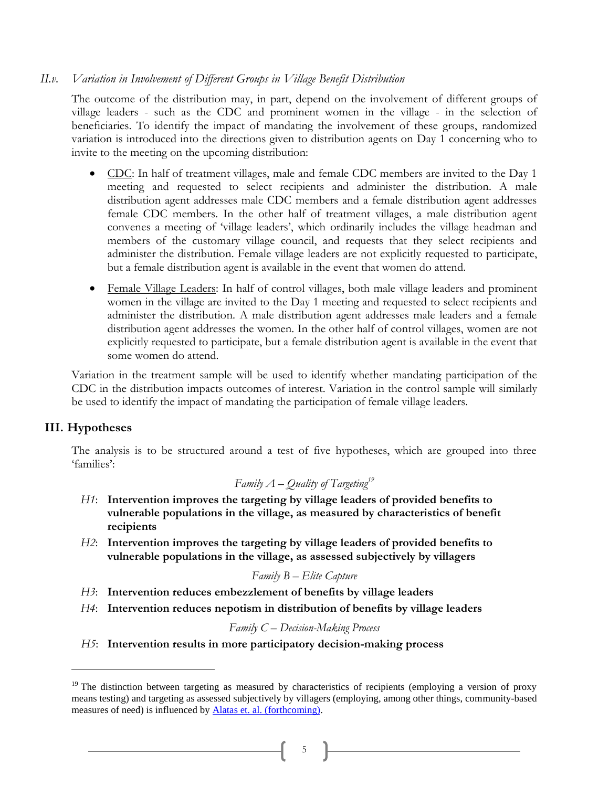## *II.v. Variation in Involvement of Different Groups in Village Benefit Distribution*

<span id="page-4-1"></span>The outcome of the distribution may, in part, depend on the involvement of different groups of village leaders - such as the CDC and prominent women in the village - in the selection of beneficiaries. To identify the impact of mandating the involvement of these groups, randomized variation is introduced into the directions given to distribution agents on Day 1 concerning who to invite to the meeting on the upcoming distribution:

- CDC: In half of treatment villages, male and female CDC members are invited to the Day 1 meeting and requested to select recipients and administer the distribution. A male distribution agent addresses male CDC members and a female distribution agent addresses female CDC members. In the other half of treatment villages, a male distribution agent convenes a meeting of 'village leaders', which ordinarily includes the village headman and members of the customary village council, and requests that they select recipients and administer the distribution. Female village leaders are not explicitly requested to participate, but a female distribution agent is available in the event that women do attend.
- Female Village Leaders: In half of control villages, both male village leaders and prominent women in the village are invited to the Day 1 meeting and requested to select recipients and administer the distribution. A male distribution agent addresses male leaders and a female distribution agent addresses the women. In the other half of control villages, women are not explicitly requested to participate, but a female distribution agent is available in the event that some women do attend.

Variation in the treatment sample will be used to identify whether mandating participation of the CDC in the distribution impacts outcomes of interest. Variation in the control sample will similarly be used to identify the impact of mandating the participation of female village leaders.

# <span id="page-4-0"></span>**III. Hypotheses**

 $\overline{a}$ 

The analysis is to be structured around a test of five hypotheses, which are grouped into three 'families':

# *Family A – Quality of Targeting<sup>19</sup>*

- *H1*: **Intervention improves the targeting by village leaders of provided benefits to vulnerable populations in the village, as measured by characteristics of benefit recipients**
- *H2*: **Intervention improves the targeting by village leaders of provided benefits to vulnerable populations in the village, as assessed subjectively by villagers**

*Family B – Elite Capture*

- *H3*: **Intervention reduces embezzlement of benefits by village leaders**
- *H4*: **Intervention reduces nepotism in distribution of benefits by village leaders**

### *Family C – Decision-Making Process*

*H5*: **Intervention results in more participatory decision-making process**

 $19$  The distinction between targeting as measured by characteristics of recipients (employing a version of proxy means testing) and targeting as assessed subjectively by villagers (employing, among other things, community-based measures of need) is influenced b[y Alatas et. al. \(forthcoming\).](http://www.cepr.org/meets/wkcn/3/3540/papers/Olken.pdf)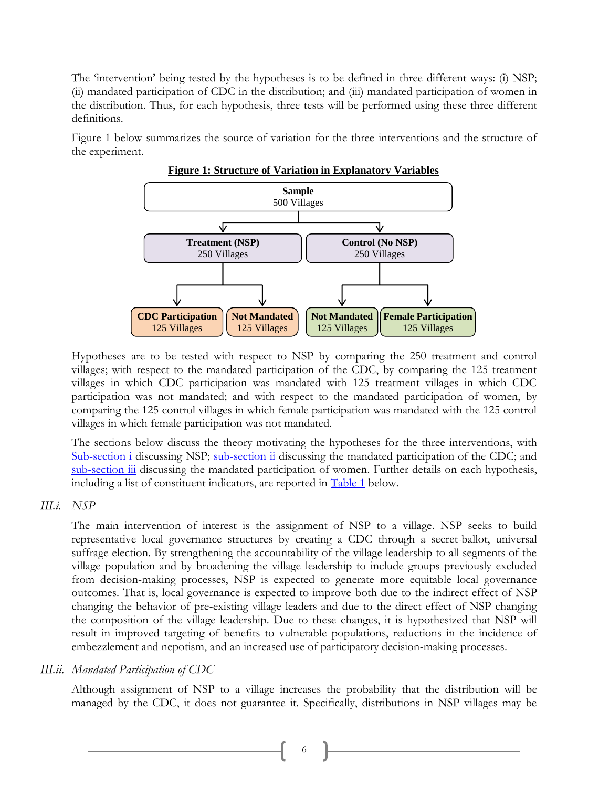The 'intervention' being tested by the hypotheses is to be defined in three different ways: (i) NSP; (ii) mandated participation of CDC in the distribution; and (iii) mandated participation of women in the distribution. Thus, for each hypothesis, three tests will be performed using these three different definitions.

Figure 1 below summarizes the source of variation for the three interventions and the structure of the experiment.



## **Figure 1: Structure of Variation in Explanatory Variables**

Hypotheses are to be tested with respect to NSP by comparing the 250 treatment and control villages; with respect to the mandated participation of the CDC, by comparing the 125 treatment villages in which CDC participation was mandated with 125 treatment villages in which CDC participation was not mandated; and with respect to the mandated participation of women, by comparing the 125 control villages in which female participation was mandated with the 125 control villages in which female participation was not mandated.

The sections below discuss the theory motivating the hypotheses for the three interventions, with [Sub-section i](#page-5-0) discussing NSP; [sub-section ii](#page-5-1) discussing the mandated participation of the CDC; and [sub-section iii](#page-6-1) discussing the mandated participation of women. Further details on each hypothesis, including a list of constituent indicators, are reported in [Table 1](#page-12-0) below.

# *III.i. NSP*

<span id="page-5-0"></span>The main intervention of interest is the assignment of NSP to a village. NSP seeks to build representative local governance structures by creating a CDC through a secret-ballot, universal suffrage election. By strengthening the accountability of the village leadership to all segments of the village population and by broadening the village leadership to include groups previously excluded from decision-making processes, NSP is expected to generate more equitable local governance outcomes. That is, local governance is expected to improve both due to the indirect effect of NSP changing the behavior of pre-existing village leaders and due to the direct effect of NSP changing the composition of the village leadership. Due to these changes, it is hypothesized that NSP will result in improved targeting of benefits to vulnerable populations, reductions in the incidence of embezzlement and nepotism, and an increased use of participatory decision-making processes.

# *III.ii. Mandated Participation of CDC*

<span id="page-5-1"></span>Although assignment of NSP to a village increases the probability that the distribution will be managed by the CDC, it does not guarantee it. Specifically, distributions in NSP villages may be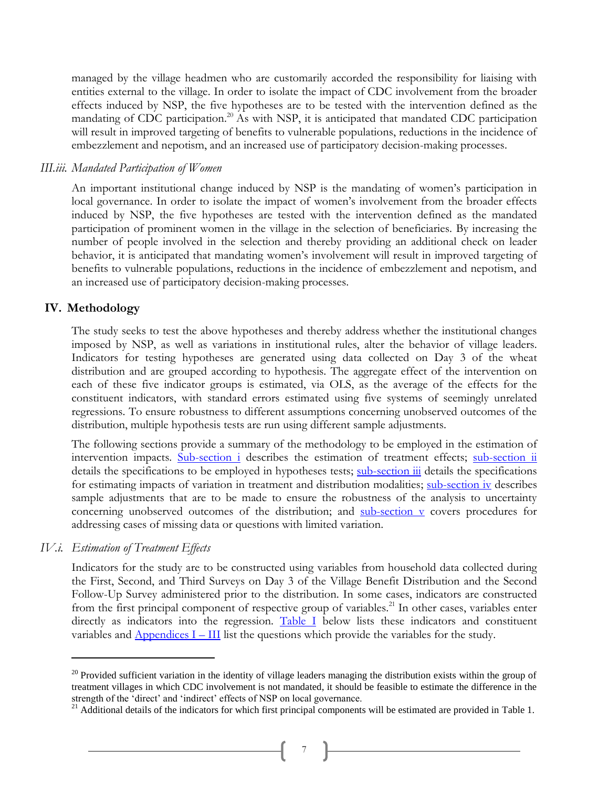managed by the village headmen who are customarily accorded the responsibility for liaising with entities external to the village. In order to isolate the impact of CDC involvement from the broader effects induced by NSP, the five hypotheses are to be tested with the intervention defined as the mandating of CDC participation.<sup>20</sup> As with NSP, it is anticipated that mandated CDC participation will result in improved targeting of benefits to vulnerable populations, reductions in the incidence of embezzlement and nepotism, and an increased use of participatory decision-making processes.

## *III.iii. Mandated Participation of Women*

<span id="page-6-1"></span>An important institutional change induced by NSP is the mandating of women's participation in local governance. In order to isolate the impact of women's involvement from the broader effects induced by NSP, the five hypotheses are tested with the intervention defined as the mandated participation of prominent women in the village in the selection of beneficiaries. By increasing the number of people involved in the selection and thereby providing an additional check on leader behavior, it is anticipated that mandating women's involvement will result in improved targeting of benefits to vulnerable populations, reductions in the incidence of embezzlement and nepotism, and an increased use of participatory decision-making processes.

## <span id="page-6-0"></span>**IV. Methodology**

The study seeks to test the above hypotheses and thereby address whether the institutional changes imposed by NSP, as well as variations in institutional rules, alter the behavior of village leaders. Indicators for testing hypotheses are generated using data collected on Day 3 of the wheat distribution and are grouped according to hypothesis. The aggregate effect of the intervention on each of these five indicator groups is estimated, via OLS, as the average of the effects for the constituent indicators, with standard errors estimated using five systems of seemingly unrelated regressions. To ensure robustness to different assumptions concerning unobserved outcomes of the distribution, multiple hypothesis tests are run using different sample adjustments.

The following sections provide a summary of the methodology to be employed in the estimation of intervention impacts. [Sub-section i](#page-6-2) describes the estimation of treatment effects; [sub-section ii](#page-7-0) details the specifications to be employed in hypotheses tests; [sub-section iii](#page-8-0) details the specifications for estimating impacts of variation in treatment and distribution modalities; [sub-section iv](#page-8-1) describes sample adjustments that are to be made to ensure the robustness of the analysis to uncertainty concerning unobserved outcomes of the distribution; and [sub-section v](#page-10-0) covers procedures for addressing cases of missing data or questions with limited variation.

## *IV.i. Estimation of Treatment Effects*

 $\overline{a}$ 

<span id="page-6-2"></span>Indicators for the study are to be constructed using variables from household data collected during the First, Second, and Third Surveys on Day 3 of the Village Benefit Distribution and the Second Follow-Up Survey administered prior to the distribution. In some cases, indicators are constructed from the first principal component of respective group of variables.<sup>21</sup> In other cases, variables enter directly as indicators into the regression. [Table I](#page-12-0) below lists these indicators and constituent variables and  $\Delta$ ppendices I – III list the questions which provide the variables for the study.

<sup>&</sup>lt;sup>20</sup> Provided sufficient variation in the identity of village leaders managing the distribution exists within the group of treatment villages in which CDC involvement is not mandated, it should be feasible to estimate the difference in the strength of the 'direct' and 'indirect' effects of NSP on local governance.

 $21$  Additional details of the indicators for which first principal components will be estimated are provided in Table 1.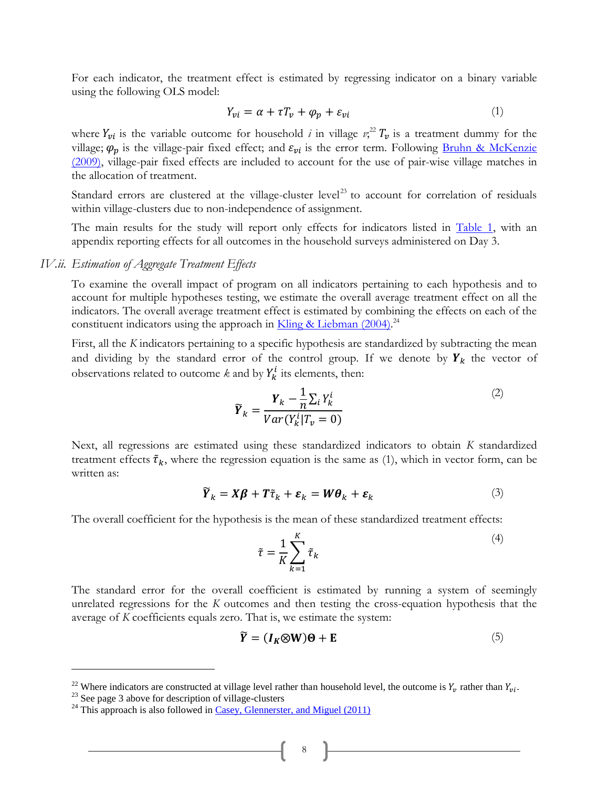For each indicator, the treatment effect is estimated by regressing indicator on a binary variable using the following OLS model:

$$
Y_{vi} = \alpha + \tau T_v + \varphi_p + \varepsilon_{vi} \tag{1}
$$

where  $Y_{vi}$  is the variable outcome for household *i* in village  $v<sub>i</sub><sup>22</sup> T<sub>v</sub>$  is a treatment dummy for the village;  $\varphi_p$  is the village-pair fixed effect; and  $\varepsilon_{vi}$  is the error term. Following [Bruhn & McKenzie](http://ideas.repec.org/p/wbk/wbrwps/4752.html) [\(2009\),](http://ideas.repec.org/p/wbk/wbrwps/4752.html) village-pair fixed effects are included to account for the use of pair-wise village matches in the allocation of treatment.

Standard errors are clustered at the village-cluster level<sup>23</sup> to account for correlation of residuals within village-clusters due to non-independence of assignment.

The main results for the study will report only effects for indicators listed in [Table 1,](#page-12-0) with an appendix reporting effects for all outcomes in the household surveys administered on Day 3.

## *IV.ii. Estimation of Aggregate Treatment Effects*

<span id="page-7-0"></span>To examine the overall impact of program on all indicators pertaining to each hypothesis and to account for multiple hypotheses testing, we estimate the overall average treatment effect on all the indicators. The overall average treatment effect is estimated by combining the effects on each of the constituent indicators using the approach in [Kling & Liebman \(2004\).](http://www.nber.org/mtopublic/483.pdf)<sup>24</sup>

First, all the *K* indicators pertaining to a specific hypothesis are standardized by subtracting the mean and dividing by the standard error of the control group. If we denote by  $Y_k$  the vector of observations related to outcome  $k$  and by  $Y_k^i$  its elements, then:

$$
\widetilde{Y}_k = \frac{Y_k - \frac{1}{n} \sum_i Y_k^i}{Var(Y_k^i | T_v = 0)}
$$
\n<sup>(2)</sup>

Next, all regressions are estimated using these standardized indicators to obtain *K* standardized treatment effects  $\tilde{\tau}_k$ , where the regression equation is the same as (1), which in vector form, can be written as:

$$
\widetilde{Y}_k = X\beta + T\widetilde{\tau}_k + \varepsilon_k = W\theta_k + \varepsilon_k \tag{3}
$$

The overall coefficient for the hypothesis is the mean of these standardized treatment effects:

$$
\tilde{\tau} = \frac{1}{K} \sum_{k=1}^{K} \tilde{\tau}_k
$$
\n<sup>(4)</sup>

The standard error for the overall coefficient is estimated by running a system of seemingly unrelated regressions for the *K* outcomes and then testing the cross-equation hypothesis that the average of *K* coefficients equals zero. That is, we estimate the system:

$$
\widetilde{Y} = (I_K \otimes W)\Theta + \mathbf{E} \tag{5}
$$

8

 $\overline{a}$ 

<sup>&</sup>lt;sup>22</sup> Where indicators are constructed at village level rather than household level, the outcome is  $Y_v$  rather than  $Y_{vi}$ .

 $^{23}$  See page [3](#page-2-2) above for description of village-clusters

 $^{24}$  This approach is also followed in [Casey, Glennerster, and Miguel \(2011\)](http://www.nber.org/papers/w17012)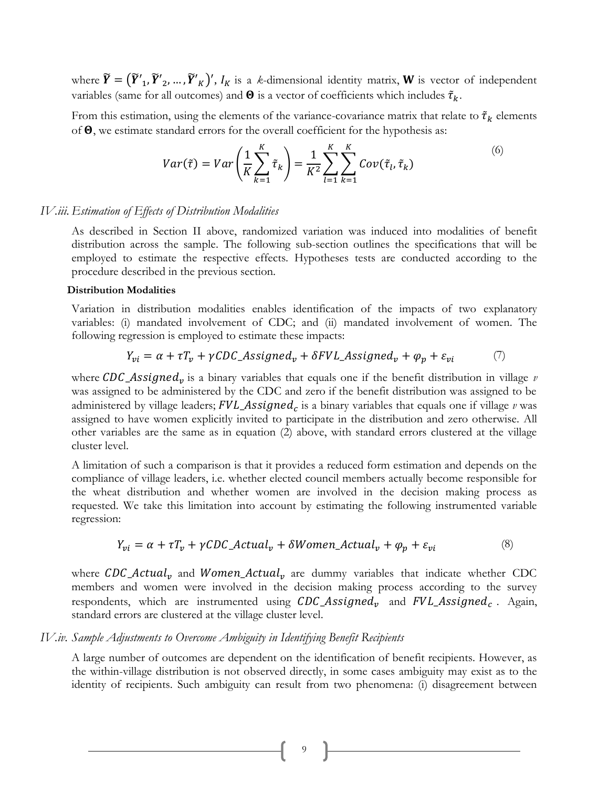where  $\widetilde{\bm{Y}} = (\widetilde{\bm{Y}}'_1, \widetilde{\bm{Y}}'_2, \dots, \widetilde{\bm{Y}}'_K)'$ ,  $I_K$  is a *k*-dimensional identity matrix, **W** is vector of independent variables (same for all outcomes) and  $\Theta$  is a vector of coefficients which includes  $\tilde{\tau}_k$ .

From this estimation, using the elements of the variance-covariance matrix that relate to  $\tilde{\tau}_k$  elements of  $\Theta$ , we estimate standard errors for the overall coefficient for the hypothesis as:

$$
Var(\tilde{\tau}) = Var\left(\frac{1}{K}\sum_{k=1}^{K}\tilde{\tau}_{k}\right) = \frac{1}{K^{2}}\sum_{l=1}^{K}\sum_{k=1}^{K}Cov(\tilde{\tau}_{l},\tilde{\tau}_{k})
$$
\n<sup>(6)</sup>

#### *IV.iii.Estimation of Effects of Distribution Modalities*

<span id="page-8-0"></span>As described in Section II above, randomized variation was induced into modalities of benefit distribution across the sample. The following sub-section outlines the specifications that will be employed to estimate the respective effects. Hypotheses tests are conducted according to the procedure described in the previous section.

#### **Distribution Modalities**

Variation in distribution modalities enables identification of the impacts of two explanatory variables: (i) mandated involvement of CDC; and (ii) mandated involvement of women. The following regression is employed to estimate these impacts:

$$
Y_{vi} = \alpha + \tau T_v + \gamma CDC\_Assigned_v + \delta FVL\_Assigned_v + \varphi_p + \varepsilon_{vi}
$$
 (7)

where CDC\_Assigned<sub>v</sub> is a binary variables that equals one if the benefit distribution in village  $\nu$ was assigned to be administered by the CDC and zero if the benefit distribution was assigned to be administered by village leaders;  $FVL\_Assigned_c$  is a binary variables that equals one if village  $v$  was assigned to have women explicitly invited to participate in the distribution and zero otherwise. All other variables are the same as in equation (2) above, with standard errors clustered at the village cluster level.

A limitation of such a comparison is that it provides a reduced form estimation and depends on the compliance of village leaders, i.e. whether elected council members actually become responsible for the wheat distribution and whether women are involved in the decision making process as requested. We take this limitation into account by estimating the following instrumented variable regression:

$$
Y_{vi} = \alpha + \tau T_v + \gamma CDC\_Actual_v + \delta Women\_Actual_v + \varphi_v + \varepsilon_{vi}
$$
\n(8)

where CDC\_Actual<sub>y</sub> and Women\_Actual<sub>y</sub> are dummy variables that indicate whether CDC members and women were involved in the decision making process according to the survey respondents, which are instrumented using  $\mathit{CDC}\_\mathit{Assignedv}$  and  $\mathit{FVL}\_\mathit{Assignedc}$ . Again, standard errors are clustered at the village cluster level.

## *IV.iv. Sample Adjustments to Overcome Ambiguity in Identifying Benefit Recipients*

<span id="page-8-1"></span>A large number of outcomes are dependent on the identification of benefit recipients. However, as the within-village distribution is not observed directly, in some cases ambiguity may exist as to the identity of recipients. Such ambiguity can result from two phenomena: (i) disagreement between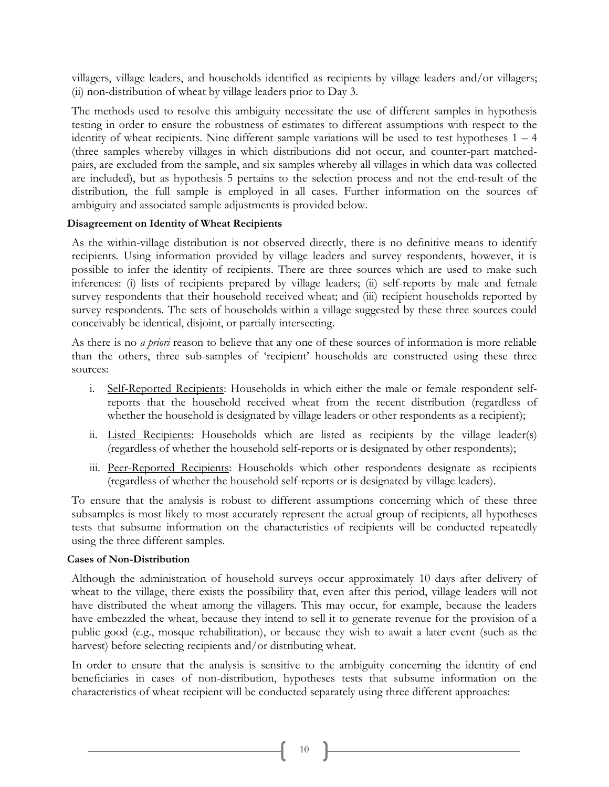villagers, village leaders, and households identified as recipients by village leaders and/or villagers; (ii) non-distribution of wheat by village leaders prior to Day 3.

The methods used to resolve this ambiguity necessitate the use of different samples in hypothesis testing in order to ensure the robustness of estimates to different assumptions with respect to the identity of wheat recipients. Nine different sample variations will be used to test hypotheses  $1 - 4$ (three samples whereby villages in which distributions did not occur, and counter-part matchedpairs, are excluded from the sample, and six samples whereby all villages in which data was collected are included), but as hypothesis 5 pertains to the selection process and not the end-result of the distribution, the full sample is employed in all cases. Further information on the sources of ambiguity and associated sample adjustments is provided below.

## **Disagreement on Identity of Wheat Recipients**

As the within-village distribution is not observed directly, there is no definitive means to identify recipients. Using information provided by village leaders and survey respondents, however, it is possible to infer the identity of recipients. There are three sources which are used to make such inferences: (i) lists of recipients prepared by village leaders; (ii) self-reports by male and female survey respondents that their household received wheat; and (iii) recipient households reported by survey respondents. The sets of households within a village suggested by these three sources could conceivably be identical, disjoint, or partially intersecting.

As there is no *a priori* reason to believe that any one of these sources of information is more reliable than the others, three sub-samples of 'recipient' households are constructed using these three sources:

- i. Self-Reported Recipients: Households in which either the male or female respondent selfreports that the household received wheat from the recent distribution (regardless of whether the household is designated by village leaders or other respondents as a recipient);
- ii. Listed Recipients: Households which are listed as recipients by the village leader(s) (regardless of whether the household self-reports or is designated by other respondents);
- iii. Peer-Reported Recipients: Households which other respondents designate as recipients (regardless of whether the household self-reports or is designated by village leaders).

To ensure that the analysis is robust to different assumptions concerning which of these three subsamples is most likely to most accurately represent the actual group of recipients, all hypotheses tests that subsume information on the characteristics of recipients will be conducted repeatedly using the three different samples.

### **Cases of Non-Distribution**

Although the administration of household surveys occur approximately 10 days after delivery of wheat to the village, there exists the possibility that, even after this period, village leaders will not have distributed the wheat among the villagers. This may occur, for example, because the leaders have embezzled the wheat, because they intend to sell it to generate revenue for the provision of a public good (e.g., mosque rehabilitation), or because they wish to await a later event (such as the harvest) before selecting recipients and/or distributing wheat.

In order to ensure that the analysis is sensitive to the ambiguity concerning the identity of end beneficiaries in cases of non-distribution, hypotheses tests that subsume information on the characteristics of wheat recipient will be conducted separately using three different approaches: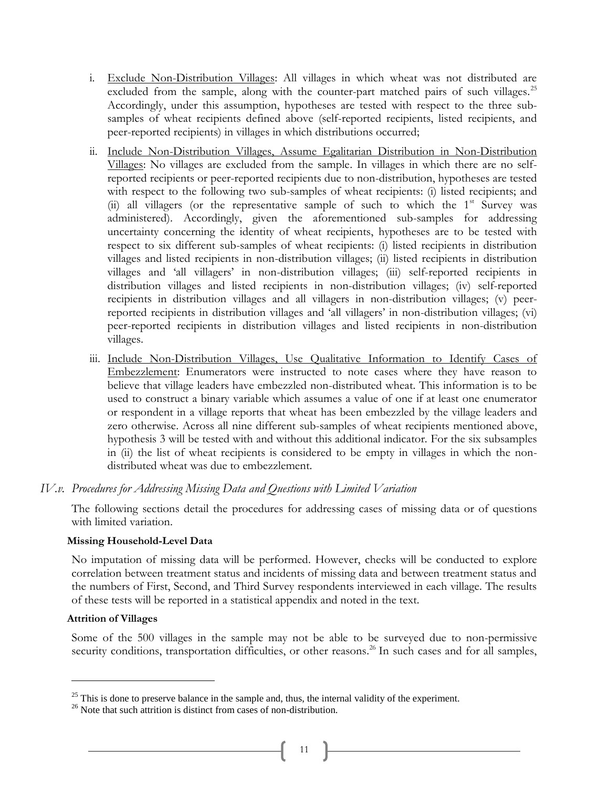- i. Exclude Non-Distribution Villages: All villages in which wheat was not distributed are excluded from the sample, along with the counter-part matched pairs of such villages.<sup>25</sup> Accordingly, under this assumption, hypotheses are tested with respect to the three subsamples of wheat recipients defined above (self-reported recipients, listed recipients, and peer-reported recipients) in villages in which distributions occurred;
- ii. Include Non-Distribution Villages, Assume Egalitarian Distribution in Non-Distribution Villages: No villages are excluded from the sample. In villages in which there are no selfreported recipients or peer-reported recipients due to non-distribution, hypotheses are tested with respect to the following two sub-samples of wheat recipients: (i) listed recipients; and (ii) all villagers (or the representative sample of such to which the  $1<sup>st</sup>$  Survey was administered). Accordingly, given the aforementioned sub-samples for addressing uncertainty concerning the identity of wheat recipients, hypotheses are to be tested with respect to six different sub-samples of wheat recipients: (i) listed recipients in distribution villages and listed recipients in non-distribution villages; (ii) listed recipients in distribution villages and 'all villagers' in non-distribution villages; (iii) self-reported recipients in distribution villages and listed recipients in non-distribution villages; (iv) self-reported recipients in distribution villages and all villagers in non-distribution villages; (v) peerreported recipients in distribution villages and 'all villagers' in non-distribution villages; (vi) peer-reported recipients in distribution villages and listed recipients in non-distribution villages.
- iii. Include Non-Distribution Villages, Use Qualitative Information to Identify Cases of Embezzlement: Enumerators were instructed to note cases where they have reason to believe that village leaders have embezzled non-distributed wheat. This information is to be used to construct a binary variable which assumes a value of one if at least one enumerator or respondent in a village reports that wheat has been embezzled by the village leaders and zero otherwise. Across all nine different sub-samples of wheat recipients mentioned above, hypothesis 3 will be tested with and without this additional indicator. For the six subsamples in (ii) the list of wheat recipients is considered to be empty in villages in which the nondistributed wheat was due to embezzlement.
- *IV.v. Procedures for Addressing Missing Data and Questions with Limited Variation*

<span id="page-10-0"></span>The following sections detail the procedures for addressing cases of missing data or of questions with limited variation.

## **Missing Household-Level Data**

No imputation of missing data will be performed. However, checks will be conducted to explore correlation between treatment status and incidents of missing data and between treatment status and the numbers of First, Second, and Third Survey respondents interviewed in each village. The results of these tests will be reported in a statistical appendix and noted in the text.

### **Attrition of Villages**

 $\overline{a}$ 

Some of the 500 villages in the sample may not be able to be surveyed due to non-permissive security conditions, transportation difficulties, or other reasons.<sup>26</sup> In such cases and for all samples,

 $25$  This is done to preserve balance in the sample and, thus, the internal validity of the experiment.

<sup>&</sup>lt;sup>26</sup> Note that such attrition is distinct from cases of non-distribution.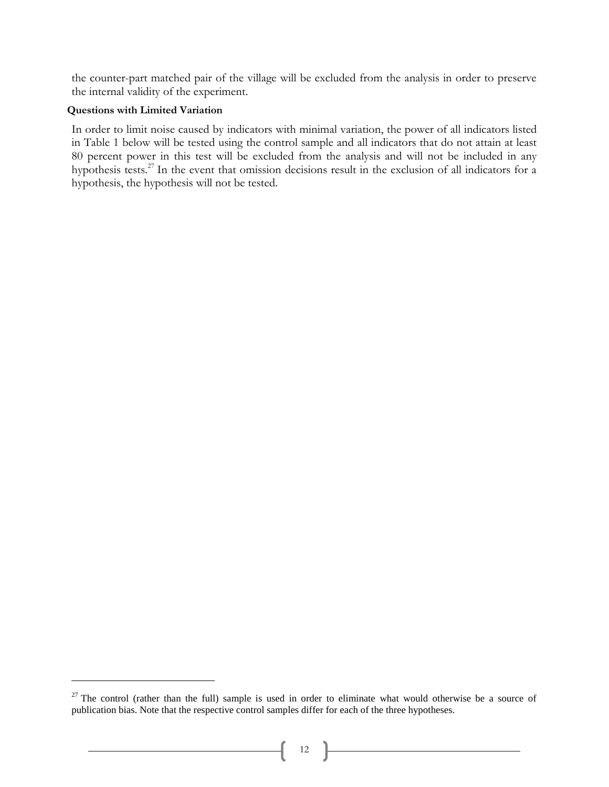the counter-part matched pair of the village will be excluded from the analysis in order to preserve the internal validity of the experiment.

## **Questions with Limited Variation**

 $\overline{a}$ 

In order to limit noise caused by indicators with minimal variation, the power of all indicators listed in Table 1 below will be tested using the control sample and all indicators that do not attain at least 80 percent power in this test will be excluded from the analysis and will not be included in any hypothesis tests.<sup>27</sup> In the event that omission decisions result in the exclusion of all indicators for a hypothesis, the hypothesis will not be tested.

 $27$  The control (rather than the full) sample is used in order to eliminate what would otherwise be a source of publication bias. Note that the respective control samples differ for each of the three hypotheses.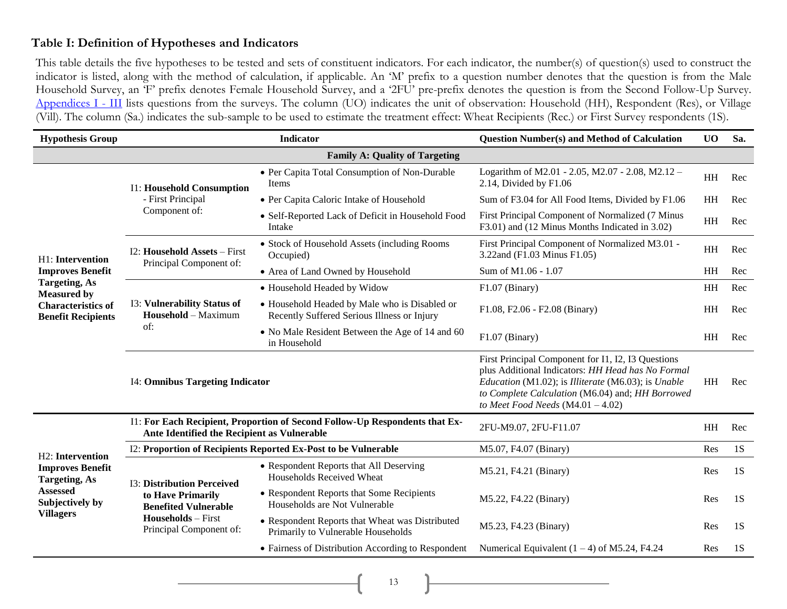## **Table I: Definition of Hypotheses and Indicators**

This table details the five hypotheses to be tested and sets of constituent indicators. For each indicator, the number(s) of question(s) used to construct the indicator is listed, along with the method of calculation, if applicable. An 'M' prefix to a question number denotes that the question is from the Male Household Survey, an 'F' prefix denotes Female Household Survey, and a '2FU' pre-prefix denotes the question is from the Second Follow-Up Survey. [Appendices](#page-15-1) I - III lists questions from the surveys. The column (UO) indicates the unit of observation: Household (HH), Respondent (Res), or Village (Vill). The column (Sa.) indicates the sub-sample to be used to estimate the treatment effect: Wheat Recipients (Rec.) or First Survey respondents (1S).

<span id="page-12-0"></span>

| <b>Hypothesis Group</b>                                |                                                                                                            | <b>Indicator</b>                                                                             | Question Number(s) and Method of Calculation                                                                                                                                                                                                              | U <sub>O</sub> | Sa. |
|--------------------------------------------------------|------------------------------------------------------------------------------------------------------------|----------------------------------------------------------------------------------------------|-----------------------------------------------------------------------------------------------------------------------------------------------------------------------------------------------------------------------------------------------------------|----------------|-----|
|                                                        |                                                                                                            | <b>Family A: Quality of Targeting</b>                                                        |                                                                                                                                                                                                                                                           |                |     |
|                                                        | <b>I1: Household Consumption</b>                                                                           | • Per Capita Total Consumption of Non-Durable<br>Items                                       | Logarithm of M2.01 - 2.05, M2.07 - 2.08, M2.12 -<br>2.14, Divided by F1.06                                                                                                                                                                                | HH             | Rec |
|                                                        | - First Principal                                                                                          | • Per Capita Caloric Intake of Household                                                     | Sum of F3.04 for All Food Items, Divided by F1.06                                                                                                                                                                                                         | <b>HH</b>      | Rec |
|                                                        | Component of:                                                                                              | • Self-Reported Lack of Deficit in Household Food<br>Intake                                  | First Principal Component of Normalized (7 Minus)<br>F3.01) and (12 Minus Months Indicated in 3.02)                                                                                                                                                       | HH             | Rec |
| H1: Intervention                                       | <b>I2: Household Assets - First</b><br>Principal Component of:                                             | • Stock of Household Assets (including Rooms<br>Occupied)                                    | First Principal Component of Normalized M3.01 -<br>3.22and (F1.03 Minus F1.05)                                                                                                                                                                            | <b>HH</b>      | Rec |
| <b>Improves Benefit</b>                                |                                                                                                            | • Area of Land Owned by Household                                                            | Sum of M1.06 - 1.07                                                                                                                                                                                                                                       | HH             | Rec |
| <b>Targeting, As</b><br><b>Measured by</b>             |                                                                                                            | • Household Headed by Widow                                                                  | F1.07 (Binary)                                                                                                                                                                                                                                            | HH             | Rec |
| <b>Characteristics of</b><br><b>Benefit Recipients</b> | <b>13: Vulnerability Status of</b><br>Household - Maximum<br>of:<br><b>14: Omnibus Targeting Indicator</b> | • Household Headed by Male who is Disabled or<br>Recently Suffered Serious Illness or Injury | F1.08, F2.06 - F2.08 (Binary)                                                                                                                                                                                                                             | <b>HH</b>      | Rec |
|                                                        |                                                                                                            | • No Male Resident Between the Age of 14 and 60<br>in Household                              | F1.07 (Binary)                                                                                                                                                                                                                                            | HH             | Rec |
|                                                        |                                                                                                            |                                                                                              | First Principal Component for I1, I2, I3 Questions<br>plus Additional Indicators: HH Head has No Formal<br>Education (M1.02); is Illiterate (M6.03); is Unable<br>to Complete Calculation (M6.04) and; HH Borrowed<br>to Meet Food Needs $(M4.01 - 4.02)$ | HH             | Rec |
|                                                        | Ante Identified the Recipient as Vulnerable                                                                | I1: For Each Recipient, Proportion of Second Follow-Up Respondents that Ex-                  | 2FU-M9.07, 2FU-F11.07                                                                                                                                                                                                                                     | <b>HH</b>      | Rec |
| H <sub>2</sub> : Intervention                          |                                                                                                            | I2: Proportion of Recipients Reported Ex-Post to be Vulnerable                               | M5.07, F4.07 (Binary)                                                                                                                                                                                                                                     | Res            | 1S  |
| <b>Improves Benefit</b><br><b>Targeting, As</b>        | <b>13: Distribution Perceived</b>                                                                          | • Respondent Reports that All Deserving<br>Households Received Wheat                         | M5.21, F4.21 (Binary)                                                                                                                                                                                                                                     | Res            | 1S  |
| <b>Assessed</b><br>Subjectively by                     | to Have Primarily<br><b>Benefited Vulnerable</b>                                                           | • Respondent Reports that Some Recipients<br>Households are Not Vulnerable                   | M5.22, F4.22 (Binary)                                                                                                                                                                                                                                     | Res            | 1S  |
| <b>Villagers</b>                                       | <b>Households</b> – First<br>Principal Component of:                                                       | • Respondent Reports that Wheat was Distributed<br>Primarily to Vulnerable Households        | M5.23, F4.23 (Binary)                                                                                                                                                                                                                                     | Res            | 1S  |
|                                                        |                                                                                                            | • Fairness of Distribution According to Respondent                                           | Numerical Equivalent $(1 – 4)$ of M5.24, F4.24                                                                                                                                                                                                            | Res            | 1S  |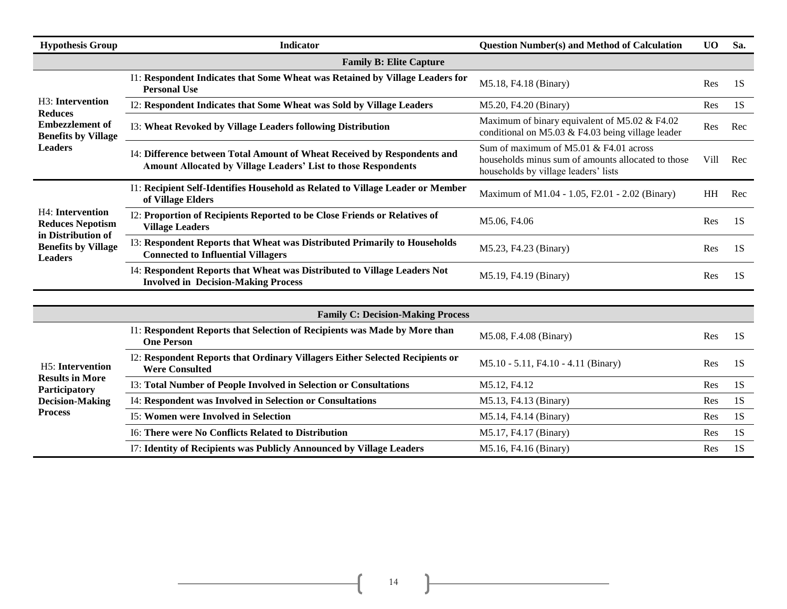| <b>Hypothesis Group</b>                                                   | <b>Indicator</b>                                                                                                                                  | <b>Question Number(s) and Method of Calculation</b>                                                                                    | UO          | Sa. |
|---------------------------------------------------------------------------|---------------------------------------------------------------------------------------------------------------------------------------------------|----------------------------------------------------------------------------------------------------------------------------------------|-------------|-----|
|                                                                           | <b>Family B: Elite Capture</b>                                                                                                                    |                                                                                                                                        |             |     |
|                                                                           | 11: Respondent Indicates that Some Wheat was Retained by Village Leaders for<br><b>Personal Use</b>                                               | M5.18, F4.18 (Binary)                                                                                                                  | Res         | 1S  |
| H <sub>3</sub> : Intervention<br><b>Reduces</b>                           | I2: Respondent Indicates that Some Wheat was Sold by Village Leaders                                                                              | M5.20, F4.20 (Binary)                                                                                                                  | Res         | 1S  |
| <b>Embezzlement of</b><br><b>Benefits by Village</b>                      | <b>13: Wheat Revoked by Village Leaders following Distribution</b>                                                                                | Maximum of binary equivalent of M5.02 & F4.02<br>conditional on M5.03 $&$ F4.03 being village leader                                   | Res         | Rec |
| <b>Leaders</b>                                                            | 14: Difference between Total Amount of Wheat Received by Respondents and<br><b>Amount Allocated by Village Leaders' List to those Respondents</b> | Sum of maximum of M5.01 $&$ F4.01 across<br>households minus sum of amounts allocated to those<br>households by village leaders' lists | <b>Vill</b> | Rec |
|                                                                           | I1: Recipient Self-Identifies Household as Related to Village Leader or Member<br>of Village Elders                                               | Maximum of M1.04 - 1.05, F2.01 - 2.02 (Binary)                                                                                         | <b>HH</b>   | Rec |
| <b>H4</b> : Intervention<br><b>Reduces Nepotism</b><br>in Distribution of | I2: Proportion of Recipients Reported to be Close Friends or Relatives of<br><b>Village Leaders</b>                                               | M5.06, F4.06                                                                                                                           | Res         | 1S  |
| <b>Benefits by Village</b><br><b>Leaders</b>                              | 13: Respondent Reports that Wheat was Distributed Primarily to Households<br><b>Connected to Influential Villagers</b>                            | M5.23, F4.23 (Binary)                                                                                                                  | Res         | 1S  |
|                                                                           | 14: Respondent Reports that Wheat was Distributed to Village Leaders Not<br><b>Involved in Decision-Making Process</b>                            | M5.19, F4.19 (Binary)                                                                                                                  | Res         | 1S  |
|                                                                           |                                                                                                                                                   |                                                                                                                                        |             |     |

|                                                | <b>Family C: Decision-Making Process</b>                                                              |                                        |     |       |
|------------------------------------------------|-------------------------------------------------------------------------------------------------------|----------------------------------------|-----|-------|
|                                                | I1: Respondent Reports that Selection of Recipients was Made by More than<br><b>One Person</b>        | M5.08, F.4.08 (Binary)                 | Res | 1S    |
| H <sub>5</sub> : Intervention                  | 12: Respondent Reports that Ordinary Villagers Either Selected Recipients or<br><b>Were Consulted</b> | $M5.10 - 5.11$ , F4.10 - 4.11 (Binary) | Res | -1S   |
| <b>Results in More</b><br><b>Participatory</b> | <b>13: Total Number of People Involved in Selection or Consultations</b>                              | M5.12, F4.12                           | Res | - 1 S |
| <b>Decision-Making</b>                         | 14: Respondent was Involved in Selection or Consultations                                             | M5.13, F4.13 (Binary)                  | Res | -1S   |
| <b>Process</b>                                 | <b>15: Women were Involved in Selection</b>                                                           | M5.14, F4.14 (Binary)                  | Res | -1S   |
|                                                | <b>16: There were No Conflicts Related to Distribution</b>                                            | M5.17, F4.17 (Binary)                  | Res | - 1 S |
|                                                | 17: Identity of Recipients was Publicly Announced by Village Leaders                                  | M5.16, F4.16 (Binary)                  | Res | 1S    |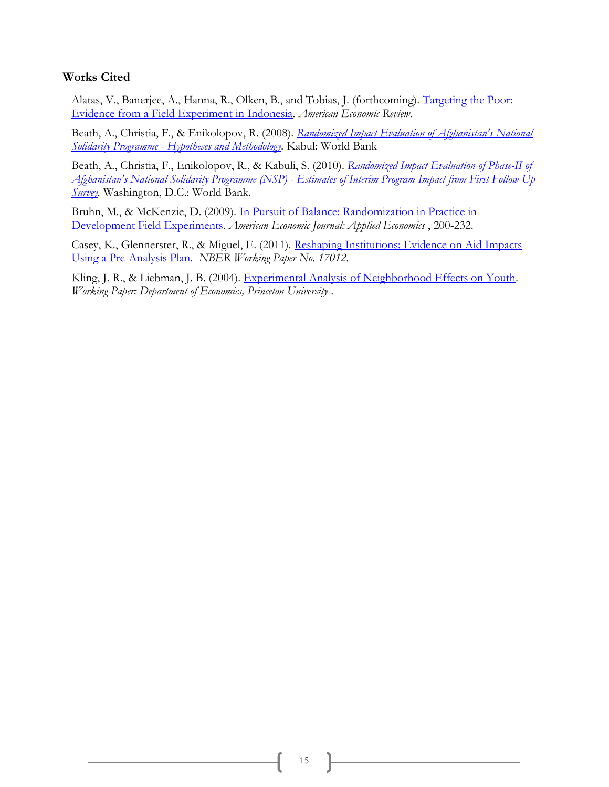## **Works Cited**

Alatas, V., Banerjee, A., Hanna, R., Olken, B., and Tobias, J. (forthcoming). [Targeting the Poor:](http://www.cepr.org/meets/wkcn/3/3540/papers/Olken.pdf)  [Evidence from a Field Experiment in Indonesia.](http://www.cepr.org/meets/wkcn/3/3540/papers/Olken.pdf) *American Economic Review*.

Beath, A., Christia, F., & Enikolopov, R. (2008). *[Randomized Impact Evaluation of Afghanistan's National](http://nsp-ie.org/reports/HM.pdf)  Solidarity Programme - [Hypotheses and Methodology.](http://nsp-ie.org/reports/HM.pdf)* Kabul: World Bank

Beath, A., Christia, F., Enikolopov, R., & Kabuli, S. (2010). *[Randomized Impact Evaluation of Phase-II of](http://nsp-ie.org/reports/BCEK-Interim_Estimates_of_Program_Impact_2010_07_25.pdf)  Afghanistan's National Solidarity Programme (NSP) - [Estimates of Interim Program Impact from First Follow-Up](http://nsp-ie.org/reports/BCEK-Interim_Estimates_of_Program_Impact_2010_07_25.pdf)  [Survey.](http://nsp-ie.org/reports/BCEK-Interim_Estimates_of_Program_Impact_2010_07_25.pdf)* Washington, D.C.: World Bank.

Bruhn, M., & McKenzie, D. (2009). [In Pursuit of Balance: Randomization in Practice in](http://ideas.repec.org/p/wbk/wbrwps/4752.html)  [Development Field Experiments.](http://ideas.repec.org/p/wbk/wbrwps/4752.html) *American Economic Journal: Applied Economics* , 200-232.

Casey, K., Glennerster, R., & Miguel, E. (2011). [Reshaping Institutions: Evidence on Aid Impacts](http://www.nber.org/papers/w17012)  [Using a Pre-Analysis Plan.](http://www.nber.org/papers/w17012) *NBER Working Paper No. 17012*.

Kling, J. R., & Liebman, J. B. (2004). [Experimental Analysis of Neighborhood Effects on Youth.](http://www.nber.org/mtopublic/483.pdf) *Working Paper: Department of Economics, Princeton University* .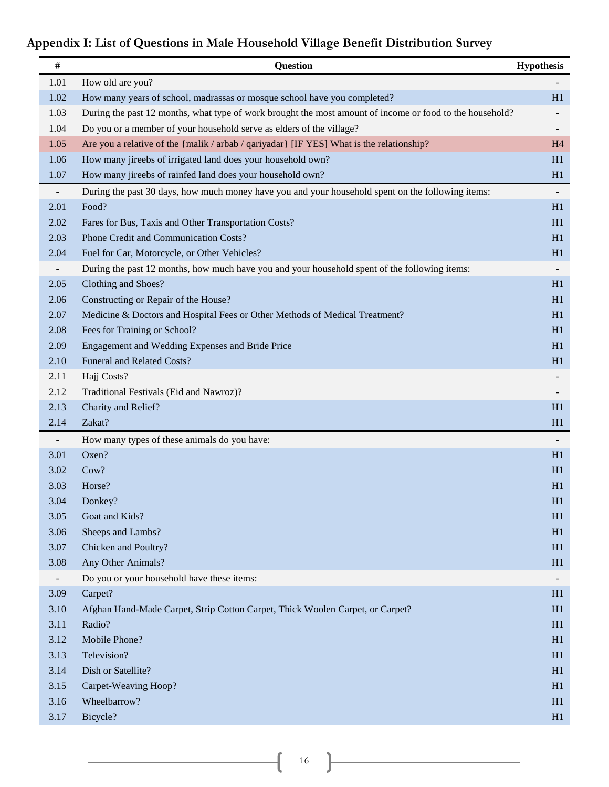# <span id="page-15-1"></span><span id="page-15-0"></span>**Appendix I: List of Questions in Male Household Village Benefit Distribution Survey**

| #                        | Question                                                                                                 | <b>Hypothesis</b> |
|--------------------------|----------------------------------------------------------------------------------------------------------|-------------------|
| 1.01                     | How old are you?                                                                                         |                   |
| 1.02                     | How many years of school, madrassas or mosque school have you completed?                                 | H1                |
| 1.03                     | During the past 12 months, what type of work brought the most amount of income or food to the household? |                   |
| 1.04                     | Do you or a member of your household serve as elders of the village?                                     |                   |
| 1.05                     | Are you a relative of the {malik / arbab / qariyadar} [IF YES] What is the relationship?                 | H <sub>4</sub>    |
| 1.06                     | How many jireebs of irrigated land does your household own?                                              | H1                |
| 1.07                     | How many jireebs of rainfed land does your household own?                                                | H1                |
| $\blacksquare$           | During the past 30 days, how much money have you and your household spent on the following items:        |                   |
| 2.01                     | Food?                                                                                                    | H1                |
| 2.02                     | Fares for Bus, Taxis and Other Transportation Costs?                                                     | H1                |
| 2.03                     | Phone Credit and Communication Costs?                                                                    | H1                |
| 2.04                     | Fuel for Car, Motorcycle, or Other Vehicles?                                                             | H1                |
| $\blacksquare$           | During the past 12 months, how much have you and your household spent of the following items:            |                   |
| 2.05                     | Clothing and Shoes?                                                                                      | H1                |
| 2.06                     | Constructing or Repair of the House?                                                                     | H1                |
| 2.07                     | Medicine & Doctors and Hospital Fees or Other Methods of Medical Treatment?                              | H1                |
| 2.08                     | Fees for Training or School?                                                                             | H1                |
| 2.09                     | Engagement and Wedding Expenses and Bride Price                                                          | H1                |
| 2.10                     | Funeral and Related Costs?                                                                               | H1                |
| 2.11                     | Hajj Costs?                                                                                              |                   |
| 2.12                     | Traditional Festivals (Eid and Nawroz)?                                                                  |                   |
| 2.13                     | Charity and Relief?                                                                                      | H1                |
| 2.14                     | Zakat?                                                                                                   | H1                |
| $\overline{\phantom{a}}$ | How many types of these animals do you have:                                                             |                   |
| 3.01                     | Oxen?                                                                                                    | H1                |
| 3.02                     | Cow?                                                                                                     | H1                |
| 3.03                     | Horse?                                                                                                   | H1                |
| 3.04                     | Donkey?                                                                                                  | H1                |
| 3.05                     | Goat and Kids?                                                                                           | H1                |
| 3.06                     | Sheeps and Lambs?                                                                                        | H1                |
| 3.07                     | Chicken and Poultry?                                                                                     | H1                |
| 3.08                     | Any Other Animals?                                                                                       | H1                |
| $\equiv$                 | Do you or your household have these items:                                                               |                   |
| 3.09                     | Carpet?                                                                                                  | H1                |
| 3.10                     | Afghan Hand-Made Carpet, Strip Cotton Carpet, Thick Woolen Carpet, or Carpet?                            | H1                |
| 3.11                     | Radio?                                                                                                   | H1                |
| 3.12                     | Mobile Phone?                                                                                            | H1                |
| 3.13                     | Television?                                                                                              | H1                |
| 3.14                     | Dish or Satellite?                                                                                       | H1                |
| 3.15                     | Carpet-Weaving Hoop?                                                                                     | H1                |
| 3.16                     | Wheelbarrow?                                                                                             | H1                |
| 3.17                     | Bicycle?                                                                                                 | H1                |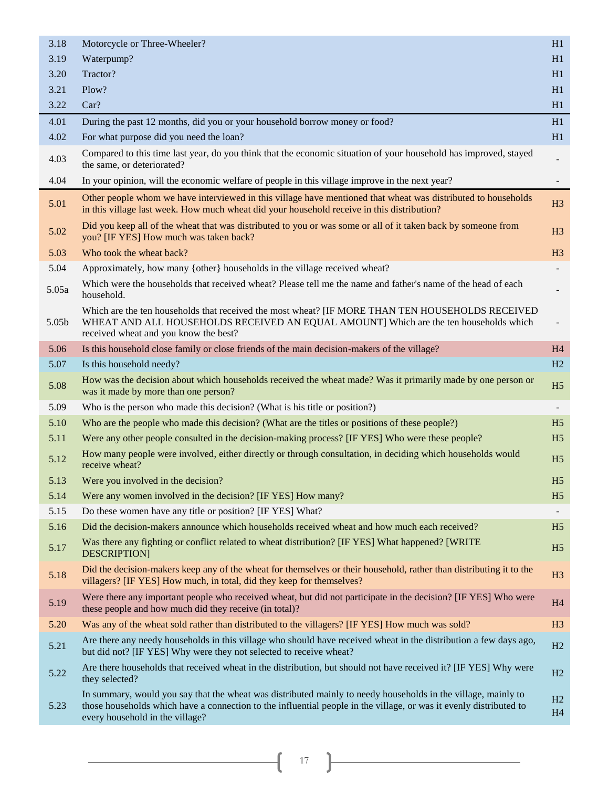| 3.18  | Motorcycle or Three-Wheeler?                                                                                                                                                                                                                                           | H1                       |
|-------|------------------------------------------------------------------------------------------------------------------------------------------------------------------------------------------------------------------------------------------------------------------------|--------------------------|
| 3.19  | Waterpump?                                                                                                                                                                                                                                                             | H1                       |
| 3.20  | Tractor?                                                                                                                                                                                                                                                               | H1                       |
| 3.21  | Plow?                                                                                                                                                                                                                                                                  | H1                       |
| 3.22  | Car?                                                                                                                                                                                                                                                                   | H1                       |
| 4.01  | During the past 12 months, did you or your household borrow money or food?                                                                                                                                                                                             | H1                       |
| 4.02  | For what purpose did you need the loan?                                                                                                                                                                                                                                | H1                       |
| 4.03  | Compared to this time last year, do you think that the economic situation of your household has improved, stayed<br>the same, or deteriorated?                                                                                                                         |                          |
| 4.04  | In your opinion, will the economic welfare of people in this village improve in the next year?                                                                                                                                                                         | $\overline{\phantom{a}}$ |
| 5.01  | Other people whom we have interviewed in this village have mentioned that wheat was distributed to households<br>in this village last week. How much wheat did your household receive in this distribution?                                                            | H3                       |
| 5.02  | Did you keep all of the wheat that was distributed to you or was some or all of it taken back by someone from<br>you? [IF YES] How much was taken back?                                                                                                                | H <sub>3</sub>           |
| 5.03  | Who took the wheat back?                                                                                                                                                                                                                                               | H <sub>3</sub>           |
| 5.04  | Approximately, how many {other} households in the village received wheat?                                                                                                                                                                                              |                          |
| 5.05a | Which were the households that received wheat? Please tell me the name and father's name of the head of each<br>household.                                                                                                                                             |                          |
| 5.05b | Which are the ten households that received the most wheat? [IF MORE THAN TEN HOUSEHOLDS RECEIVED<br>WHEAT AND ALL HOUSEHOLDS RECEIVED AN EQUAL AMOUNT] Which are the ten households which<br>received wheat and you know the best?                                     |                          |
| 5.06  | Is this household close family or close friends of the main decision-makers of the village?                                                                                                                                                                            | H <sub>4</sub>           |
| 5.07  | Is this household needy?                                                                                                                                                                                                                                               | H2                       |
| 5.08  | How was the decision about which households received the wheat made? Was it primarily made by one person or<br>was it made by more than one person?                                                                                                                    | H <sub>5</sub>           |
| 5.09  | Who is the person who made this decision? (What is his title or position?)                                                                                                                                                                                             |                          |
| 5.10  | Who are the people who made this decision? (What are the titles or positions of these people?)                                                                                                                                                                         | H <sub>5</sub>           |
| 5.11  | Were any other people consulted in the decision-making process? [IF YES] Who were these people?                                                                                                                                                                        | H <sub>5</sub>           |
| 5.12  | How many people were involved, either directly or through consultation, in deciding which households would<br>receive wheat?                                                                                                                                           | H <sub>5</sub>           |
| 5.13  | Were you involved in the decision?                                                                                                                                                                                                                                     | H <sub>5</sub>           |
| 5.14  | Were any women involved in the decision? [IF YES] How many?                                                                                                                                                                                                            | H <sub>5</sub>           |
| 5.15  | Do these women have any title or position? [IF YES] What?                                                                                                                                                                                                              |                          |
| 5.16  | Did the decision-makers announce which households received wheat and how much each received?                                                                                                                                                                           | H <sub>5</sub>           |
| 5.17  | Was there any fighting or conflict related to wheat distribution? [IF YES] What happened? [WRITE<br><b>DESCRIPTION</b>                                                                                                                                                 | H <sub>5</sub>           |
| 5.18  | Did the decision-makers keep any of the wheat for themselves or their household, rather than distributing it to the<br>villagers? [IF YES] How much, in total, did they keep for themselves?                                                                           | H <sub>3</sub>           |
| 5.19  | Were there any important people who received wheat, but did not participate in the decision? [IF YES] Who were<br>these people and how much did they receive (in total)?                                                                                               | H <sub>4</sub>           |
| 5.20  | Was any of the wheat sold rather than distributed to the villagers? [IF YES] How much was sold?                                                                                                                                                                        | H3                       |
| 5.21  | Are there any needy households in this village who should have received wheat in the distribution a few days ago,<br>but did not? [IF YES] Why were they not selected to receive wheat?                                                                                | H2                       |
| 5.22  | Are there households that received wheat in the distribution, but should not have received it? [IF YES] Why were<br>they selected?                                                                                                                                     | H2                       |
| 5.23  | In summary, would you say that the wheat was distributed mainly to needy households in the village, mainly to<br>those households which have a connection to the influential people in the village, or was it evenly distributed to<br>every household in the village? | H2<br>H <sub>4</sub>     |

17

J

 $\overline{\mathfrak{l}}$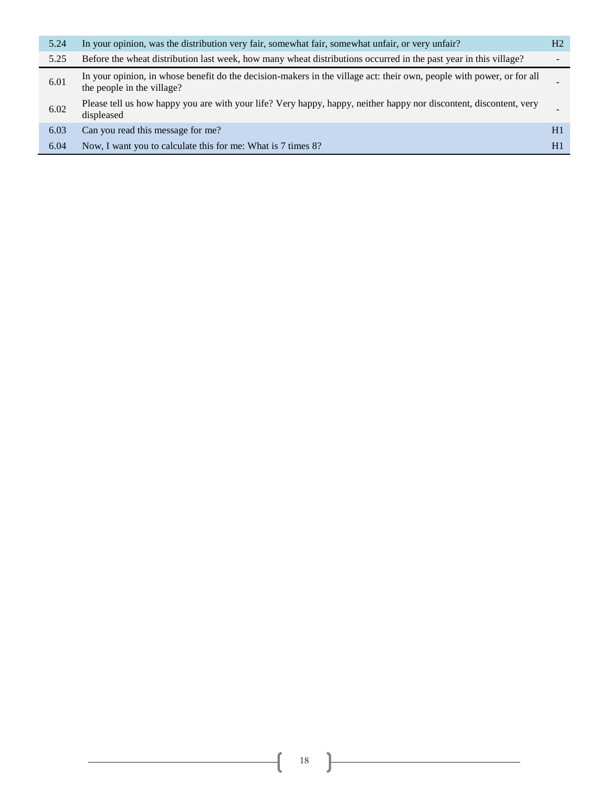| 5.24 | In your opinion, was the distribution very fair, somewhat fair, somewhat unfair, or very unfair?                                                    | H2 |
|------|-----------------------------------------------------------------------------------------------------------------------------------------------------|----|
| 5.25 | Before the wheat distribution last week, how many wheat distributions occurred in the past year in this village?                                    |    |
| 6.01 | In your opinion, in whose benefit do the decision-makers in the village act: their own, people with power, or for all<br>the people in the village? |    |
| 6.02 | Please tell us how happy you are with your life? Very happy, happy, neither happy nor discontent, discontent, very<br>displeased                    |    |
| 6.03 | Can you read this message for me?                                                                                                                   | H1 |
| 6.04 | Now, I want you to calculate this for me: What is 7 times 8?                                                                                        | H1 |

 $\overline{\mathfrak{f}}$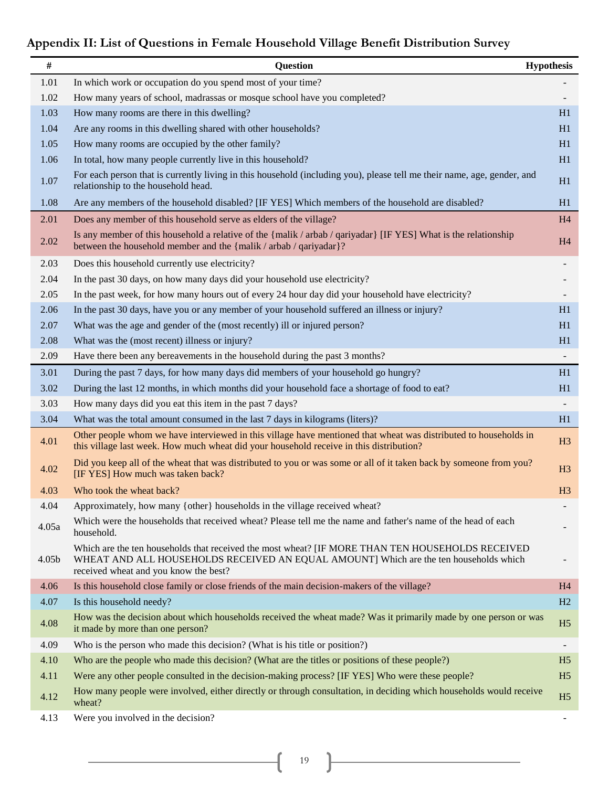# **Appendix II: List of Questions in Female Household Village Benefit Distribution Survey**

| #     | <b>Question</b>                                                                                                                                                                                                                    | <b>Hypothesis</b>        |
|-------|------------------------------------------------------------------------------------------------------------------------------------------------------------------------------------------------------------------------------------|--------------------------|
| 1.01  | In which work or occupation do you spend most of your time?                                                                                                                                                                        |                          |
| 1.02  | How many years of school, madrassas or mosque school have you completed?                                                                                                                                                           |                          |
| 1.03  | How many rooms are there in this dwelling?                                                                                                                                                                                         | H1                       |
| 1.04  | Are any rooms in this dwelling shared with other households?                                                                                                                                                                       | H1                       |
| 1.05  | How many rooms are occupied by the other family?                                                                                                                                                                                   | H1                       |
| 1.06  | In total, how many people currently live in this household?                                                                                                                                                                        | H1                       |
| 1.07  | For each person that is currently living in this household (including you), please tell me their name, age, gender, and<br>relationship to the household head.                                                                     | H1                       |
| 1.08  | Are any members of the household disabled? [IF YES] Which members of the household are disabled?                                                                                                                                   | H1                       |
| 2.01  | Does any member of this household serve as elders of the village?                                                                                                                                                                  | H <sub>4</sub>           |
| 2.02  | Is any member of this household a relative of the {malik / arbab / qariyadar} [IF YES] What is the relationship<br>between the household member and the {malik / arbab / qariyadar}?                                               | H <sub>4</sub>           |
| 2.03  | Does this household currently use electricity?                                                                                                                                                                                     |                          |
| 2.04  | In the past 30 days, on how many days did your household use electricity?                                                                                                                                                          |                          |
| 2.05  | In the past week, for how many hours out of every 24 hour day did your household have electricity?                                                                                                                                 |                          |
| 2.06  | In the past 30 days, have you or any member of your household suffered an illness or injury?                                                                                                                                       | H1                       |
| 2.07  | What was the age and gender of the (most recently) ill or injured person?                                                                                                                                                          | H1                       |
| 2.08  | What was the (most recent) illness or injury?                                                                                                                                                                                      | H1                       |
| 2.09  | Have there been any bereavements in the household during the past 3 months?                                                                                                                                                        |                          |
| 3.01  | During the past 7 days, for how many days did members of your household go hungry?                                                                                                                                                 | H1                       |
| 3.02  | During the last 12 months, in which months did your household face a shortage of food to eat?                                                                                                                                      | H1                       |
| 3.03  | How many days did you eat this item in the past 7 days?                                                                                                                                                                            |                          |
| 3.04  | What was the total amount consumed in the last 7 days in kilograms (liters)?                                                                                                                                                       | H1                       |
| 4.01  | Other people whom we have interviewed in this village have mentioned that wheat was distributed to households in<br>this village last week. How much wheat did your household receive in this distribution?                        | H3                       |
| 4.02  | Did you keep all of the wheat that was distributed to you or was some or all of it taken back by someone from you?<br>[IF YES] How much was taken back?                                                                            | H3                       |
| 4.03  | Who took the wheat back?                                                                                                                                                                                                           | H <sub>3</sub>           |
| 4.04  | Approximately, how many {other} households in the village received wheat?                                                                                                                                                          |                          |
| 4.05a | Which were the households that received wheat? Please tell me the name and father's name of the head of each<br>household.                                                                                                         |                          |
| 4.05b | Which are the ten households that received the most wheat? [IF MORE THAN TEN HOUSEHOLDS RECEIVED<br>WHEAT AND ALL HOUSEHOLDS RECEIVED AN EQUAL AMOUNT] Which are the ten households which<br>received wheat and you know the best? |                          |
| 4.06  | Is this household close family or close friends of the main decision-makers of the village?                                                                                                                                        | H <sub>4</sub>           |
| 4.07  | Is this household needy?                                                                                                                                                                                                           | H2                       |
| 4.08  | How was the decision about which households received the wheat made? Was it primarily made by one person or was<br>it made by more than one person?                                                                                | H <sub>5</sub>           |
| 4.09  | Who is the person who made this decision? (What is his title or position?)                                                                                                                                                         | $\overline{\phantom{a}}$ |
| 4.10  | Who are the people who made this decision? (What are the titles or positions of these people?)                                                                                                                                     | H <sub>5</sub>           |
| 4.11  | Were any other people consulted in the decision-making process? [IF YES] Who were these people?                                                                                                                                    | H <sub>5</sub>           |
| 4.12  | How many people were involved, either directly or through consultation, in deciding which households would receive<br>wheat?                                                                                                       | H <sub>5</sub>           |
| 4.13  | Were you involved in the decision?                                                                                                                                                                                                 | $\overline{\phantom{a}}$ |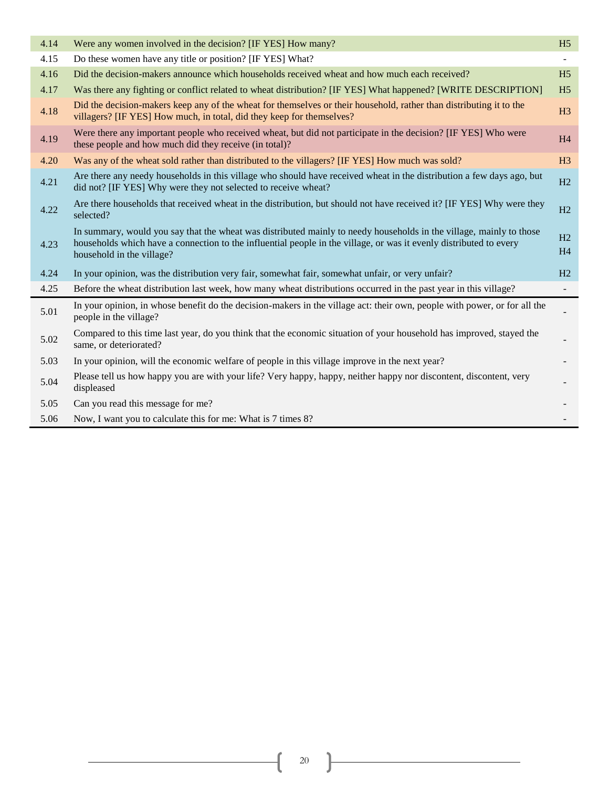| 4.14 | Were any women involved in the decision? [IF YES] How many?                                                                                                                                                                                                            | H <sub>5</sub> |
|------|------------------------------------------------------------------------------------------------------------------------------------------------------------------------------------------------------------------------------------------------------------------------|----------------|
| 4.15 | Do these women have any title or position? [IF YES] What?                                                                                                                                                                                                              |                |
| 4.16 | Did the decision-makers announce which households received wheat and how much each received?                                                                                                                                                                           | H <sub>5</sub> |
| 4.17 | Was there any fighting or conflict related to wheat distribution? [IF YES] What happened? [WRITE DESCRIPTION]                                                                                                                                                          | H <sub>5</sub> |
| 4.18 | Did the decision-makers keep any of the wheat for themselves or their household, rather than distributing it to the<br>villagers? [IF YES] How much, in total, did they keep for themselves?                                                                           | H3             |
| 4.19 | Were there any important people who received wheat, but did not participate in the decision? [IF YES] Who were<br>these people and how much did they receive (in total)?                                                                                               | H <sub>4</sub> |
| 4.20 | Was any of the wheat sold rather than distributed to the villagers? [IF YES] How much was sold?                                                                                                                                                                        | H <sub>3</sub> |
| 4.21 | Are there any needy households in this village who should have received wheat in the distribution a few days ago, but<br>did not? [IF YES] Why were they not selected to receive wheat?                                                                                | H2             |
| 4.22 | Are there households that received wheat in the distribution, but should not have received it? [IF YES] Why were they<br>selected?                                                                                                                                     | H2             |
| 4.23 | In summary, would you say that the wheat was distributed mainly to needy households in the village, mainly to those<br>households which have a connection to the influential people in the village, or was it evenly distributed to every<br>household in the village? | H2<br>H4       |
| 4.24 | In your opinion, was the distribution very fair, somewhat fair, somewhat unfair, or very unfair?                                                                                                                                                                       | H2             |
| 4.25 | Before the wheat distribution last week, how many wheat distributions occurred in the past year in this village?                                                                                                                                                       |                |
| 5.01 | In your opinion, in whose benefit do the decision-makers in the village act: their own, people with power, or for all the<br>people in the village?                                                                                                                    |                |
| 5.02 | Compared to this time last year, do you think that the economic situation of your household has improved, stayed the<br>same, or deteriorated?                                                                                                                         |                |
| 5.03 | In your opinion, will the economic welfare of people in this village improve in the next year?                                                                                                                                                                         |                |
| 5.04 | Please tell us how happy you are with your life? Very happy, happy, neither happy nor discontent, discontent, very<br>displeased                                                                                                                                       |                |
| 5.05 | Can you read this message for me?                                                                                                                                                                                                                                      |                |
| 5.06 | Now, I want you to calculate this for me: What is 7 times 8?                                                                                                                                                                                                           |                |

 $\mathfrak{c}$